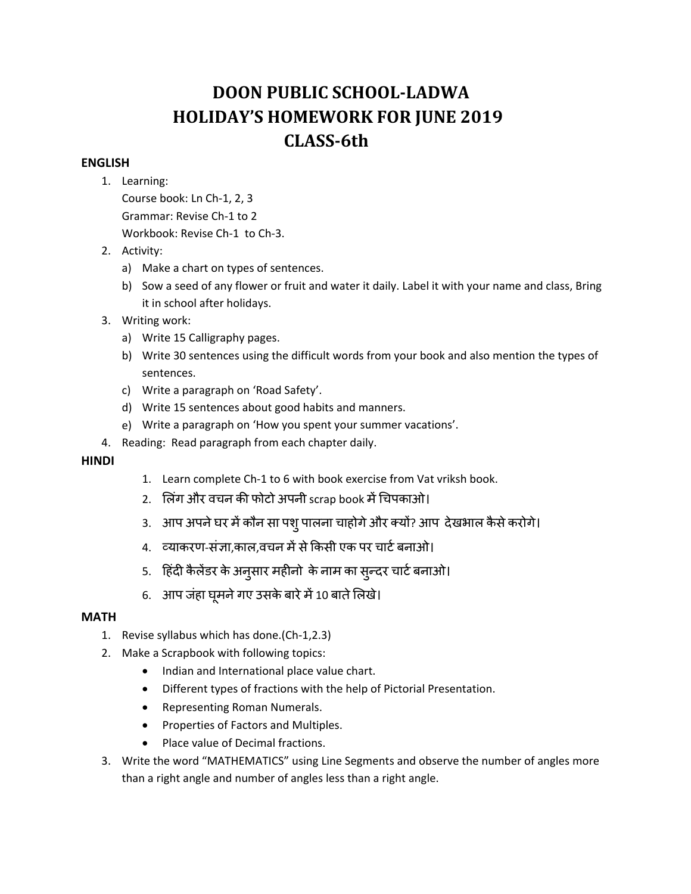# **DOON PUBLIC SCHOOL‐LADWA HOLIDAY'S HOMEWORK FOR JUNE 2019 CLASS‐6th**

# **ENGLISH**

1. Learning:

Course book: Ln Ch‐1, 2, 3 Grammar: Revise Ch‐1 to 2 Workbook: Revise Ch‐1 to Ch‐3.

- 2. Activity:
	- a) Make a chart on types of sentences.
	- b) Sow a seed of any flower or fruit and water it daily. Label it with your name and class, Bring it in school after holidays.
- 3. Writing work:
	- a) Write 15 Calligraphy pages.
	- b) Write 30 sentences using the difficult words from your book and also mention the types of sentences.
	- c) Write a paragraph on 'Road Safety'.
	- d) Write 15 sentences about good habits and manners.
	- e) Write a paragraph on 'How you spent your summer vacations'.
- 4. Reading: Read paragraph from each chapter daily.

# **HINDI**

- 1. Learn complete Ch‐1 to 6 with book exercise from Vat vriksh book.
- 2. लिंग और वचन की फोटो अपनी scrap book में चिपकाओ।
- 3. आप अपने घर में कौन सा पशु पालना चाहोगे और क्यों? आप देखभाल कैसे करोगे।
- 4. व्याकरण-संज्ञा,काल,वचन में से किसी एक पर चार्ट बनाओ।
- 5. ंहिंदी कैलेंडर के अनुसार महीनों के नाम का सुन्दर चाटे बनाओ।
- 6. आप जहा घूमने गए उसके बारे मे 10 बाते लिखे।

# **MATH**

- 1. Revise syllabus which has done.(Ch‐1,2.3)
- 2. Make a Scrapbook with following topics:
	- Indian and International place value chart.
	- Different types of fractions with the help of Pictorial Presentation.
	- Representing Roman Numerals.
	- Properties of Factors and Multiples.
	- Place value of Decimal fractions.
- 3. Write the word "MATHEMATICS" using Line Segments and observe the number of angles more than a right angle and number of angles less than a right angle.